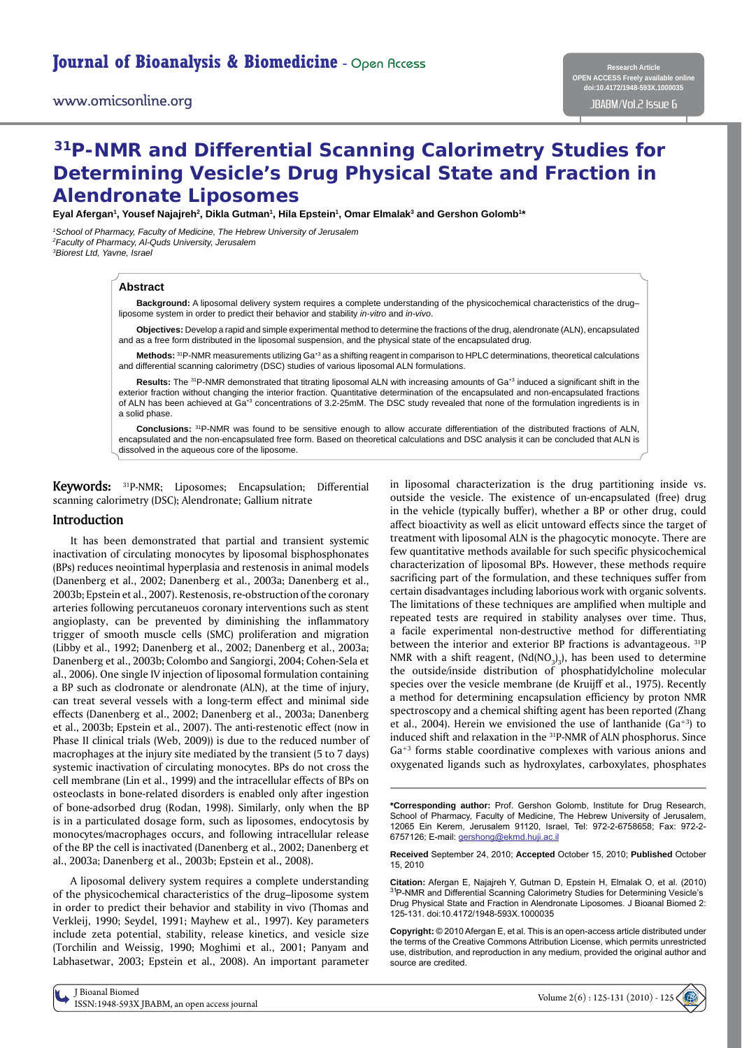# **Determining Vesicle's Drug Physical State and Fraction in Alendronate Liposomes <sup>31</sup>P-NMR and Differential Scanning Calorimetry Studies for**

Eyal Afergan<sup>1</sup>, Yousef Najajreh<sup>2</sup>, Dikla Gutman<sup>1</sup>, Hila Epstein<sup>1</sup>, Omar Elmalak<sup>3</sup> and Gershon Golomb<sup>1\*</sup>

<sup>1</sup> School of Pharmacy, Faculty of Medicine, The Hebrew University of Jerusalem *2 Faculty of Pharmacy, Al-Quds University, Jerusalem 3 Biorest Ltd, Yavne, Israel*

#### **Abstract**

**Background:** A liposomal delivery system requires a complete understanding of the physicochemical characteristics of the drug– liposome system in order to predict their behavior and stability *in-vitro* and *in-vivo*.

**Objectives:** Develop a rapid and simple experimental method to determine the fractions of the drug, alendronate (ALN), encapsulated and as a free form distributed in the liposomal suspension, and the physical state of the encapsulated drug.

**Methods:** 31P-NMR measurements utilizing Ga+3 as a shifting reagent in comparison to HPLC determinations, theoretical calculations and differential scanning calorimetry (DSC) studies of various liposomal ALN formulations.

Results: The <sup>31</sup>P-NMR demonstrated that titrating liposomal ALN with increasing amounts of Ga<sup>+3</sup> induced a significant shift in the exterior fraction without changing the interior fraction. Quantitative determination of the encapsulated and non-encapsulated fractions of ALN has been achieved at Ga<sup>+3</sup> concentrations of 3.2-25mM. The DSC study revealed that none of the formulation ingredients is in a solid phase.

**Conclusions:** 31P-NMR was found to be sensitive enough to allow accurate differentiation of the distributed fractions of ALN, encapsulated and the non-encapsulated free form. Based on theoretical calculations and DSC analysis it can be concluded that ALN is dissolved in the aqueous core of the liposome.

**Keywords:** 31P-NMR; Liposomes; Encapsulation; Differential scanning calorimetry (DSC); Alendronate; Gallium nitrate

#### **Introduction**

It has been demonstrated that partial and transient systemic inactivation of circulating monocytes by liposomal bisphosphonates (BPs) reduces neointimal hyperplasia and restenosis in animal models (Danenberg et al., 2002; Danenberg et al., 2003a; Danenberg et al., 2003b; Epstein et al., 2007). Restenosis, re-obstruction of the coronary arteries following percutaneuos coronary interventions such as stent angioplasty, can be prevented by diminishing the inflammatory trigger of smooth muscle cells (SMC) proliferation and migration (Libby et al., 1992; Danenberg et al., 2002; Danenberg et al., 2003a; Danenberg et al., 2003b; Colombo and Sangiorgi, 2004; Cohen-Sela et al., 2006). One single IV injection of liposomal formulation containing a BP such as clodronate or alendronate (ALN), at the time of injury, can treat several vessels with a long-term effect and minimal side effects (Danenberg et al., 2002; Danenberg et al., 2003a; Danenberg et al., 2003b; Epstein et al., 2007). The anti-restenotic effect (now in Phase II clinical trials (Web, 2009)) is due to the reduced number of macrophages at the injury site mediated by the transient (5 to 7 days) systemic inactivation of circulating monocytes. BPs do not cross the cell membrane (Lin et al., 1999) and the intracellular effects of BPs on osteoclasts in bone-related disorders is enabled only after ingestion of bone-adsorbed drug (Rodan, 1998). Similarly, only when the BP is in a particulated dosage form, such as liposomes, endocytosis by monocytes/macrophages occurs, and following intracellular release of the BP the cell is inactivated (Danenberg et al., 2002; Danenberg et al., 2003a; Danenberg et al., 2003b; Epstein et al., 2008).

A liposomal delivery system requires a complete understanding of the physicochemical characteristics of the drug–liposome system in order to predict their behavior and stability in vivo (Thomas and Verkleij, 1990; Seydel, 1991; Mayhew et al., 1997). Key parameters include zeta potential, stability, release kinetics, and vesicle size (Torchilin and Weissig, 1990; Moghimi et al., 2001; Panyam and Labhasetwar, 2003; Epstein et al., 2008). An important parameter

a method for determining encapsulation efficiency by proton NMR spectroscopy and a chemical shifting agent has been reported (Zhang et al., 2004). Herein we envisioned the use of lanthanide  $(Ga^{+3})$  to induced shift and relaxation in the 31P-NMR of ALN phosphorus. Since Ga+3 forms stable coordinative complexes with various anions and oxygenated ligands such as hydroxylates, carboxylates, phosphates **\*Corresponding author:** Prof. Gershon Golomb, Institute for Drug Research, School of Pharmacy, Faculty of Medicine, The Hebrew University of Jerusalem, 12065 Ein Kerem, Jerusalem 91120, Israel, Tel: 972-2-6758658; Fax: 972-2- 6757126; E-mail: gershong@ekmd.huji.ac.il **Received** September 24, 2010; **Accepted** October 15, 2010; **Published** October 15, 2010 **Citation:** Afergan E, Najajreh Y, Gutman D, Epstein H, Elmalak O, et al. (2010) Drug Physical State and Fraction in Alendronate Liposomes. J Bioanal Biomed 2: **SHATCH AND SETTLE TO THE STATE OF STATE OF DETAIL AT A STATE OF STATE AND STATE ASSETS** 

125-131. doi[:10.4172/1948-593X.1000035](http://dx.doi.org/10.4172/1948-593X.1000035)

**Copyright:** © 2010 Afergan E, et al. This is an open-access article distributed under the terms of the Creative Commons Attribution License, which permits unrestricted use, distribution, and reproduction in any medium, provided the original author and source are credited.

in liposomal characterization is the drug partitioning inside vs. outside the vesicle. The existence of un-encapsulated (free) drug in the vehicle (typically buffer), whether a BP or other drug, could affect bioactivity as well as elicit untoward effects since the target of treatment with liposomal ALN is the phagocytic monocyte. There are few quantitative methods available for such specific physicochemical characterization of liposomal BPs. However, these methods require sacrificing part of the formulation, and these techniques suffer from certain disadvantages including laborious work with organic solvents. The limitations of these techniques are amplified when multiple and repeated tests are required in stability analyses over time. Thus, a facile experimental non-destructive method for differentiating between the interior and exterior BP fractions is advantageous. 31P NMR with a shift reagent,  $(Nd(NO<sub>3</sub>)<sub>3</sub>)$ , has been used to determine the outside/inside distribution of phosphatidylcholine molecular species over the vesicle membrane (de Kruijff et al., 1975). Recently

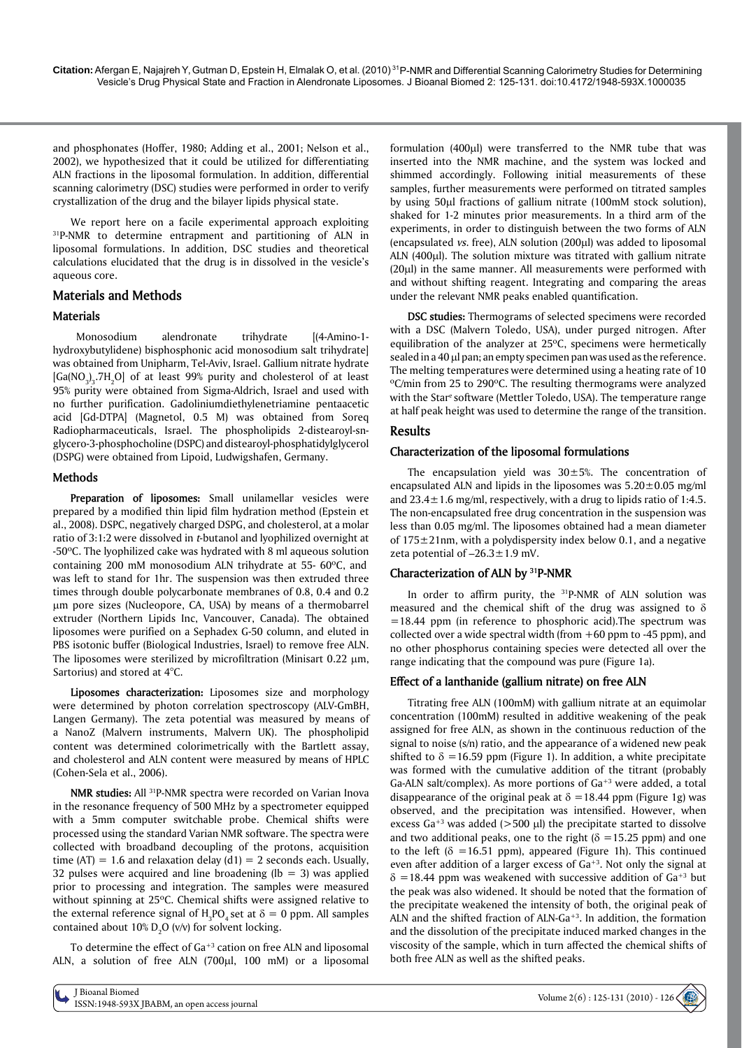and phosphonates (Hoffer, 1980; Adding et al., 2001; Nelson et al., 2002), we hypothesized that it could be utilized for differentiating ALN fractions in the liposomal formulation. In addition, differential scanning calorimetry (DSC) studies were performed in order to verify crystallization of the drug and the bilayer lipids physical state.

We report here on a facile experimental approach exploiting 31P-NMR to determine entrapment and partitioning of ALN in liposomal formulations. In addition, DSC studies and theoretical calculations elucidated that the drug is in dissolved in the vesicle's aqueous core.

## **Materials and Methods**

## **Materials**

Monosodium alendronate trihydrate [(4-Amino-1 hydroxybutylidene) bisphosphonic acid monosodium salt trihydrate] was obtained from Unipharm, Tel-Aviv, Israel. Gallium nitrate hydrate  $[Ga(NO<sub>3</sub>)<sub>3</sub>$ .7H<sub>2</sub>O of at least 99% purity and cholesterol of at least 95% purity were obtained from Sigma-Aldrich, Israel and used with no further purification. Gadoliniumdiethylenetriamine pentaacetic acid [Gd-DTPA] (Magnetol, 0.5 M) was obtained from Soreq Radiopharmaceuticals, Israel. The phospholipids 2-distearoyl-snglycero-3-phosphocholine (DSPC) and distearoyl-phosphatidylglycerol (DSPG) were obtained from Lipoid, Ludwigshafen, Germany.

## **Methods**

**Preparation of liposomes:** Small unilamellar vesicles were prepared by a modified thin lipid film hydration method (Epstein et al., 2008). DSPC, negatively charged DSPG, and cholesterol, at a molar ratio of 3:1:2 were dissolved in *t*-butanol and lyophilized overnight at -50ºC. The lyophilized cake was hydrated with 8 ml aqueous solution containing 200 mM monosodium ALN trihydrate at 55- 60ºC, and was left to stand for 1hr. The suspension was then extruded three times through double polycarbonate membranes of 0.8, 0.4 and 0.2 m pore sizes (Nucleopore, CA, USA) by means of a thermobarrel extruder (Northern Lipids Inc, Vancouver, Canada). The obtained liposomes were purified on a Sephadex G-50 column, and eluted in PBS isotonic buffer (Biological Industries, Israel) to remove free ALN. The liposomes were sterilized by microfiltration (Minisart  $0.22 \mu m$ , Sartorius) and stored at 4°C.

**Liposomes characterization:** Liposomes size and morphology were determined by photon correlation spectroscopy (ALV-GmBH, Langen Germany). The zeta potential was measured by means of a NanoZ (Malvern instruments, Malvern UK). The phospholipid content was determined colorimetrically with the Bartlett assay, and cholesterol and ALN content were measured by means of HPLC (Cohen-Sela et al., 2006).

**NMR studies:** All 31P-NMR spectra were recorded on Varian Inova in the resonance frequency of 500 MHz by a spectrometer equipped with a 5mm computer switchable probe. Chemical shifts were processed using the standard Varian NMR software. The spectra were collected with broadband decoupling of the protons, acquisition time (AT) = 1.6 and relaxation delay (d1) = 2 seconds each. Usually, 32 pulses were acquired and line broadening ( $lb = 3$ ) was applied prior to processing and integration. The samples were measured without spinning at 25ºC. Chemical shifts were assigned relative to the external reference signal of  $H_3PO_4$  set at  $\delta = 0$  ppm. All samples contained about 10%  $D_2O$  (v/v) for solvent locking.

To determine the effect of Ga+3 cation on free ALN and liposomal ALN, a solution of free ALN (700µl, 100 mM) or a liposomal

formulation  $(400\mu l)$  were transferred to the NMR tube that was inserted into the NMR machine, and the system was locked and shimmed accordingly. Following initial measurements of these samples, further measurements were performed on titrated samples by using 50µl fractions of gallium nitrate (100mM stock solution), shaked for 1-2 minutes prior measurements. In a third arm of the experiments, in order to distinguish between the two forms of ALN (encapsulated *vs*. free), ALN solution (200µl) was added to liposomal ALN (400µl). The solution mixture was titrated with gallium nitrate (20ul) in the same manner. All measurements were performed with and without shifting reagent. Integrating and comparing the areas under the relevant NMR peaks enabled quantification.

**DSC studies:** Thermograms of selected specimens were recorded with a DSC (Malvern Toledo, USA), under purged nitrogen. After equilibration of the analyzer at 25ºC, specimens were hermetically sealed in a 40 µl pan; an empty specimen pan was used as the reference. The melting temperatures were determined using a heating rate of 10 ºC/min from 25 to 290ºC. The resulting thermograms were analyzed with the Star<sup>e</sup> software (Mettler Toledo, USA). The temperature range at half peak height was used to determine the range of the transition.

## **Results**

## **Characterization of the liposomal formulations**

The encapsulation yield was 30±5%. The concentration of encapsulated ALN and lipids in the liposomes was  $5.20 \pm 0.05$  mg/ml and  $23.4 \pm 1.6$  mg/ml, respectively, with a drug to lipids ratio of 1:4.5. The non-encapsulated free drug concentration in the suspension was less than 0.05 mg/ml. The liposomes obtained had a mean diameter of  $175 \pm 21$ nm, with a polydispersity index below 0.1, and a negative zeta potential of  $-26.3 \pm 1.9$  mV.

## **Characterization of ALN by 31P-NMR**

In order to affirm purity, the <sup>31</sup>P-NMR of ALN solution was measured and the chemical shift of the drug was assigned to  $\delta$  $=18.44$  ppm (in reference to phosphoric acid). The spectrum was collected over a wide spectral width (from  $+60$  ppm to -45 ppm), and no other phosphorus containing species were detected all over the range indicating that the compound was pure (Figure 1a).

## **Effect of a lanthanide (gallium nitrate) on free ALN**

Titrating free ALN (100mM) with gallium nitrate at an equimolar concentration (100mM) resulted in additive weakening of the peak assigned for free ALN, as shown in the continuous reduction of the signal to noise (s/n) ratio, and the appearance of a widened new peak shifted to  $\delta$  =16.59 ppm (Figure 1). In addition, a white precipitate was formed with the cumulative addition of the titrant (probably Ga-ALN salt/complex). As more portions of Ga+3 were added, a total disappearance of the original peak at  $\delta = 18.44$  ppm (Figure 1g) was observed, and the precipitation was intensified. However, when excess Ga<sup>+3</sup> was added ( $>500 \mu$ l) the precipitate started to dissolve and two additional peaks, one to the right ( $\delta$  =15.25 ppm) and one to the left ( $\delta$  =16.51 ppm), appeared (Figure 1h). This continued even after addition of a larger excess of Ga<sup>+3</sup>. Not only the signal at  $\delta$  =18.44 ppm was weakened with successive addition of Ga<sup>+3</sup> but the peak was also widened. It should be noted that the formation of the precipitate weakened the intensity of both, the original peak of ALN and the shifted fraction of ALN-Ga+3. In addition, the formation and the dissolution of the precipitate induced marked changes in the viscosity of the sample, which in turn affected the chemical shifts of both free ALN as well as the shifted peaks.

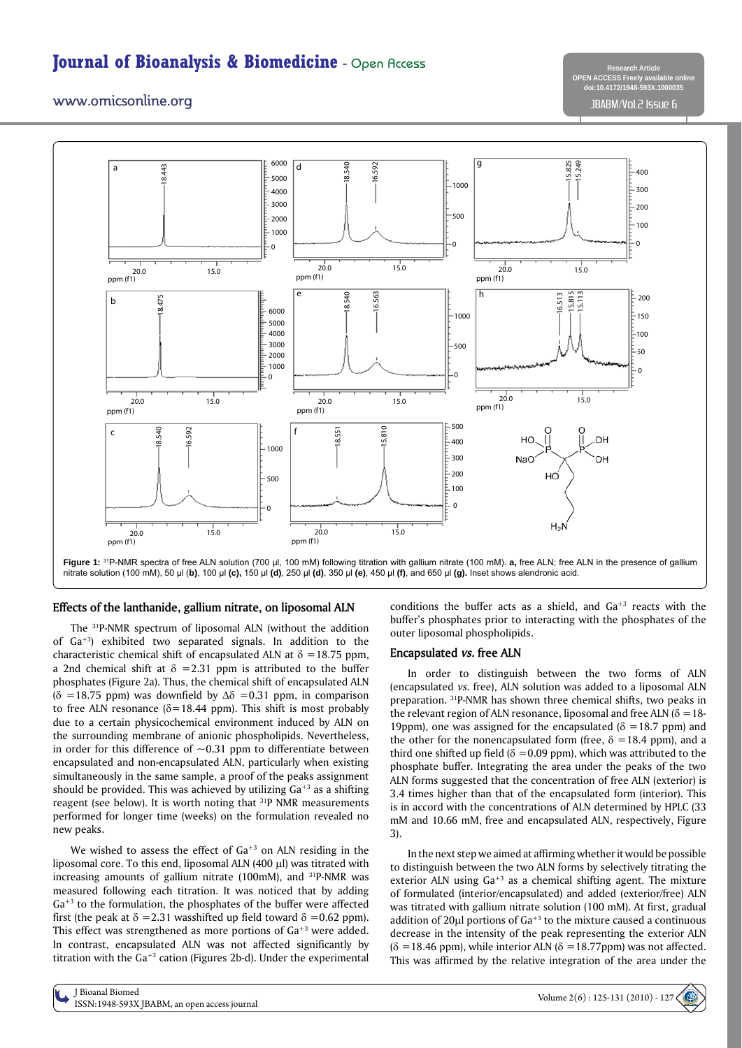# **Journal of Bioanalysis & Biomedicine** - Open Access

## www.omicsonline.org



#### **Effects of the lanthanide, gallium nitrate, on liposomal ALN**

The 31P-NMR spectrum of liposomal ALN (without the addition of Ga+3) exhibited two separated signals. In addition to the characteristic chemical shift of encapsulated ALN at  $\delta$  =18.75 ppm, a 2nd chemical shift at  $\delta$  =2.31 ppm is attributed to the buffer phosphates (Figure 2a). Thus, the chemical shift of encapsulated ALN ( $\delta$  =18.75 ppm) was downfield by  $\Delta\delta$  =0.31 ppm, in comparison to free ALN resonance ( $\delta$ =18.44 ppm). This shift is most probably due to a certain physicochemical environment induced by ALN on the surrounding membrane of anionic phospholipids. Nevertheless, in order for this difference of  $\sim$ 0.31 ppm to differentiate between encapsulated and non-encapsulated ALN, particularly when existing simultaneously in the same sample, a proof of the peaks assignment should be provided. This was achieved by utilizing  $Ga^{+3}$  as a shifting reagent (see below). It is worth noting that 31P NMR measurements performed for longer time (weeks) on the formulation revealed no new peaks.

We wished to assess the effect of  $Ga^{+3}$  on ALN residing in the liposomal core. To this end, liposomal ALN (400 µl) was titrated with increasing amounts of gallium nitrate (100mM), and 31P-NMR was measured following each titration. It was noticed that by adding Ga+3 to the formulation, the phosphates of the buffer were affected first (the peak at  $\delta$  =2.31 wasshifted up field toward  $\delta$  =0.62 ppm). This effect was strengthened as more portions of Ga<sup>+3</sup> were added. In contrast, encapsulated ALN was not affected significantly by titration with the  $Ga^{+3}$  cation (Figures 2b-d). Under the experimental

conditions the buffer acts as a shield, and  $Ga^{+3}$  reacts with the buffer's phosphates prior to interacting with the phosphates of the outer liposomal phospholipids.

#### **Encapsulated** *vs.* **free ALN**

In order to distinguish between the two forms of ALN (encapsulated *vs*. free), ALN solution was added to a liposomal ALN preparation. 31P-NMR has shown three chemical shifts, two peaks in the relevant region of ALN resonance, liposomal and free ALN ( $\delta = 18$ -19ppm), one was assigned for the encapsulated ( $\delta$  =18.7 ppm) and the other for the nonencapsulated form (free,  $\delta = 18.4$  ppm), and a third one shifted up field ( $\delta$  =0.09 ppm), which was attributed to the phosphate buffer. Integrating the area under the peaks of the two ALN forms suggested that the concentration of free ALN (exterior) is 3.4 times higher than that of the encapsulated form (interior). This is in accord with the concentrations of ALN determined by HPLC (33 mM and 10.66 mM, free and encapsulated ALN, respectively, Figure 3).

In the next step we aimed at affirming whether it would be possible to distinguish between the two ALN forms by selectively titrating the exterior ALN using  $Ga^{+3}$  as a chemical shifting agent. The mixture of formulated (interior/encapsulated) and added (exterior/free) ALN was titrated with gallium nitrate solution (100 mM). At first, gradual addition of 20 $\mu$ l portions of Ga<sup>+3</sup> to the mixture caused a continuous decrease in the intensity of the peak representing the exterior ALN  $(\delta = 18.46$  ppm), while interior ALN  $(\delta = 18.77$ ppm) was not affected.



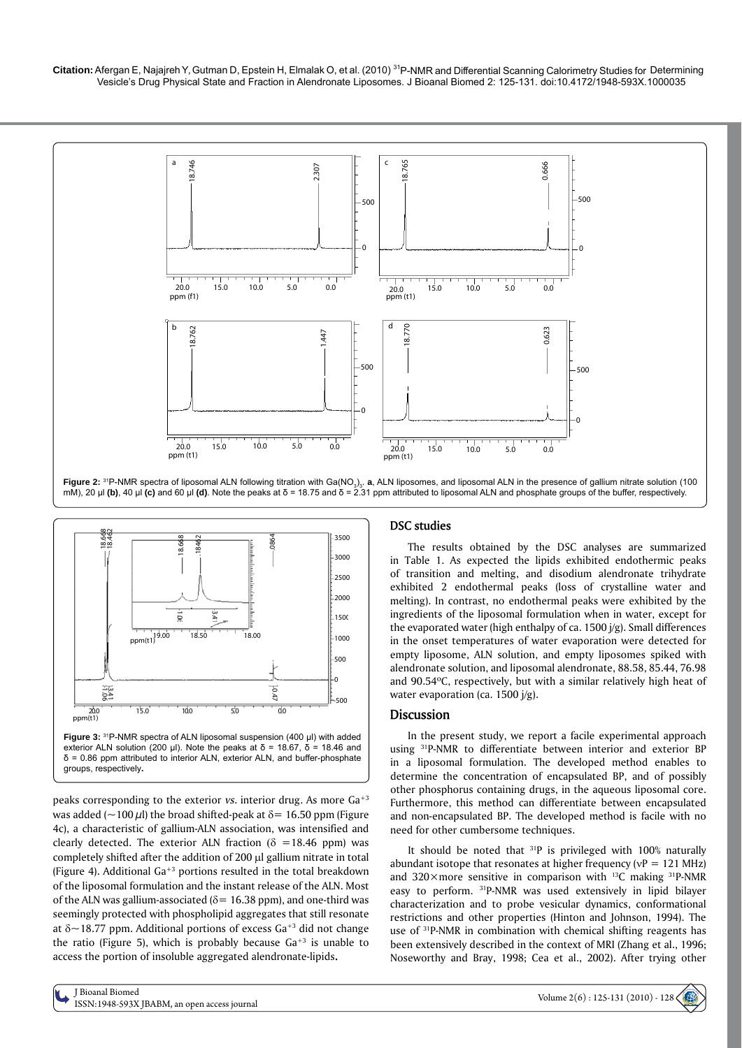Citation: Afergan E, Najajreh Y, Gutman D, Epstein H, Elmalak O, et al. (2010) <sup>31</sup>P-NMR and Differential Scanning Calorimetry Studies for Determining Vesicle's Drug Physical State and Fraction in Alendronate Liposomes. J Bioanal Biomed 2: 125-131. doi:[10.4172/1948-593X.1000035](http://dx.doi.org/10.4172/1948-593X.1000035)





peaks corresponding to the exterior *vs.* interior drug. As more Ga+3 was added ( $\sim$ 100  $\mu$ l) the broad shifted-peak at  $\delta$  = 16.50 ppm (Figure 4c), a characteristic of gallium-ALN association, was intensified and clearly detected. The exterior ALN fraction  $(\delta = 18.46 \text{ ppm})$  was completely shifted after the addition of 200 µl gallium nitrate in total (Figure 4). Additional  $Ga^{+3}$  portions resulted in the total breakdown of the liposomal formulation and the instant release of the ALN. Most of the ALN was gallium-associated ( $\delta$  = 16.38 ppm), and one-third was seemingly protected with phospholipid aggregates that still resonate at  $\delta$ ~18.77 ppm. Additional portions of excess Ga<sup>+3</sup> did not change the ratio (Figure 5), which is probably because  $Ga^{+3}$  is unable to access the portion of insoluble aggregated alendronate-lipids**.**

## **DSC studies**

The results obtained by the DSC analyses are summarized in Table 1. As expected the lipids exhibited endothermic peaks of transition and melting, and disodium alendronate trihydrate exhibited 2 endothermal peaks (loss of crystalline water and melting). In contrast, no endothermal peaks were exhibited by the ingredients of the liposomal formulation when in water, except for the evaporated water (high enthalpy of ca. 1500 j/g). Small differences in the onset temperatures of water evaporation were detected for empty liposome, ALN solution, and empty liposomes spiked with alendronate solution, and liposomal alendronate, 88.58, 85.44, 76.98 and 90.54ºC, respectively, but with a similar relatively high heat of water evaporation (ca. 1500 j/g).

#### **Discussion**

In the present study, we report a facile experimental approach using 31P-NMR to differentiate between interior and exterior BP in a liposomal formulation. The developed method enables to determine the concentration of encapsulated BP, and of possibly other phosphorus containing drugs, in the aqueous liposomal core. Furthermore, this method can differentiate between encapsulated and non-encapsulated BP. The developed method is facile with no need for other cumbersome techniques.

It should be noted that  $31P$  is privileged with 100% naturally abundant isotope that resonates at higher frequency ( $vP = 121$  MHz) and 320 $\times$ more sensitive in comparison with <sup>13</sup>C making <sup>31</sup>P-NMR easy to perform. 31P-NMR was used extensively in lipid bilayer characterization and to probe vesicular dynamics, conformational restrictions and other properties (Hinton and Johnson, 1994). The use of 31P-NMR in combination with chemical shifting reagents has been extensively described in the context of MRI (Zhang et al., 1996; Noseworthy and Bray, 1998; Cea et al., 2002). After trying other

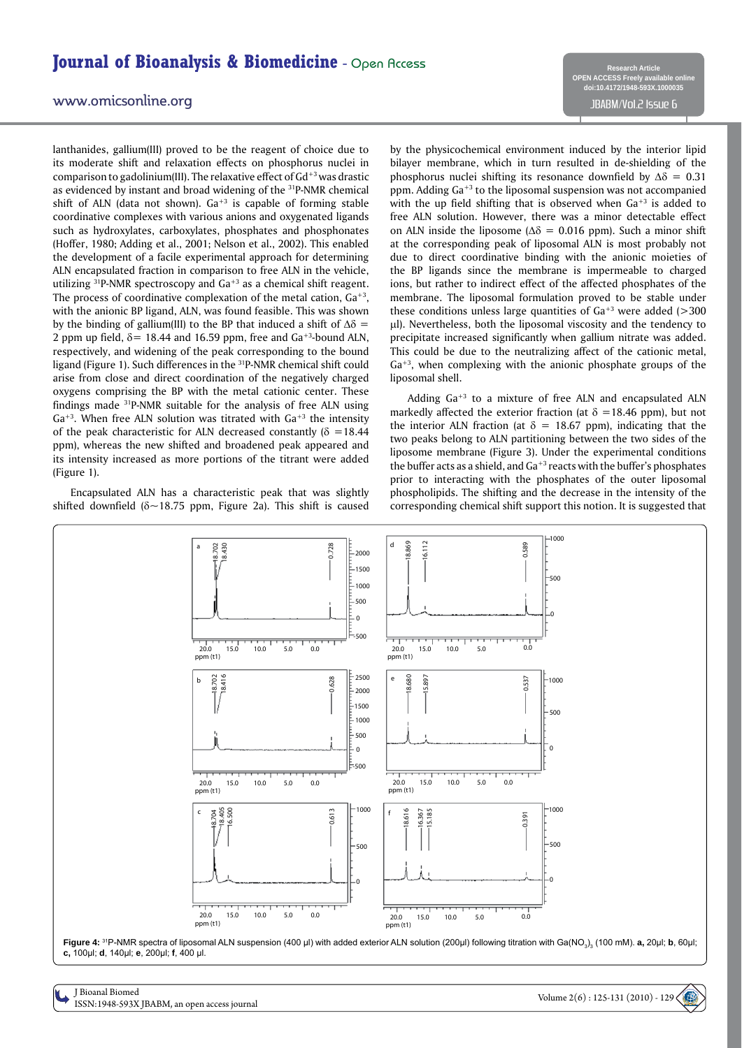## **Journal of Bioanalysis & Biomedicine** - Open Access

## www.omicsonline.org

lanthanides, gallium(III) proved to be the reagent of choice due to its moderate shift and relaxation effects on phosphorus nuclei in comparison to gadolinium(III). The relaxative effect of Gd+3 was drastic as evidenced by instant and broad widening of the 31P-NMR chemical shift of ALN (data not shown).  $Ga^{+3}$  is capable of forming stable coordinative complexes with various anions and oxygenated ligands such as hydroxylates, carboxylates, phosphates and phosphonates (Hoffer, 1980; Adding et al., 2001; Nelson et al., 2002). This enabled the development of a facile experimental approach for determining ALN encapsulated fraction in comparison to free ALN in the vehicle, utilizing  $31P$ -NMR spectroscopy and  $Ga^{+3}$  as a chemical shift reagent. The process of coordinative complexation of the metal cation,  $Ga^{+3}$ , with the anionic BP ligand, ALN, was found feasible. This was shown by the binding of gallium(III) to the BP that induced a shift of  $\Delta\delta$  = 2 ppm up field,  $\delta$  = 18.44 and 16.59 ppm, free and Ga<sup>+3</sup>-bound ALN, respectively, and widening of the peak corresponding to the bound ligand (Figure 1). Such differences in the 31P-NMR chemical shift could arise from close and direct coordination of the negatively charged oxygens comprising the BP with the metal cationic center. These findings made 31P-NMR suitable for the analysis of free ALN using  $Ga^{+3}$ . When free ALN solution was titrated with  $Ga^{+3}$  the intensity of the peak characteristic for ALN decreased constantly  $( \delta = 18.44$ ppm), whereas the new shifted and broadened peak appeared and its intensity increased as more portions of the titrant were added (Figure 1).

Encapsulated ALN has a characteristic peak that was slightly shifted downfield  $(\delta \sim 18.75$  ppm, Figure 2a). This shift is caused **Research Article OPEN ACCESS Freely available online doi:[10.4172/1948-593X.1000035](http://dx.doi.org/10.4172/1948-593X.1000035)** JBABM/Vol.2 Issue 6

by the physicochemical environment induced by the interior lipid bilayer membrane, which in turn resulted in de-shielding of the phosphorus nuclei shifting its resonance downfield by  $\Delta\delta = 0.31$ ppm. Adding Ga+3 to the liposomal suspension was not accompanied with the up field shifting that is observed when  $Ga^{+3}$  is added to free ALN solution. However, there was a minor detectable effect on ALN inside the liposome ( $\Delta \delta = 0.016$  ppm). Such a minor shift at the corresponding peak of liposomal ALN is most probably not due to direct coordinative binding with the anionic moieties of the BP ligands since the membrane is impermeable to charged ions, but rather to indirect effect of the affected phosphates of the membrane. The liposomal formulation proved to be stable under these conditions unless large quantities of  $Ga^{+3}$  were added ( $>$ 300 ul). Nevertheless, both the liposomal viscosity and the tendency to precipitate increased significantly when gallium nitrate was added. This could be due to the neutralizing affect of the cationic metal, Ga+3, when complexing with the anionic phosphate groups of the liposomal shell.

Adding Ga+3 to a mixture of free ALN and encapsulated ALN markedly affected the exterior fraction (at  $\delta$  =18.46 ppm), but not the interior ALN fraction (at  $\delta = 18.67$  ppm), indicating that the two peaks belong to ALN partitioning between the two sides of the liposome membrane (Figure 3). Under the experimental conditions the buffer acts as a shield, and Ga+3 reacts with the buffer's phosphates prior to interacting with the phosphates of the outer liposomal phospholipids. The shifting and the decrease in the intensity of the corresponding chemical shift support this notion. It is suggested that



**Figure 4:** 31P-NMR spectra of liposomal ALN suspension (400 μl) with added exterior ALN solution (200μl) following titration with Ga(NO3 )3 (100 mM). **a,** 20μl; **b**, 60μl; **c,** 100μl; **d**, 140μl; **e**, 200μl; **f**, 400 μl.

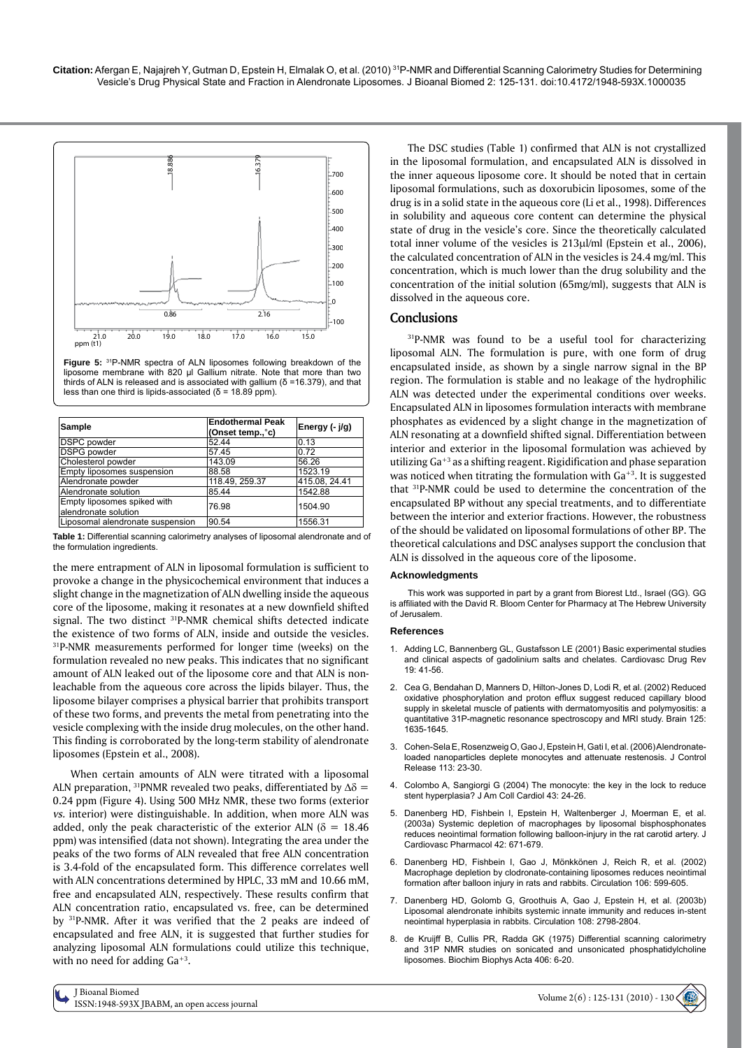

**Figure 5:** 31P-NMR spectra of ALN liposomes following breakdown of the liposome membrane with 820 μl Gallium nitrate. Note that more than two thirds of ALN is released and is associated with gallium (δ =16.379), and that less than one third is lipids-associated (δ = 18.89 ppm).

| Sample                           | <b>Endothermal Peak</b><br>(Onset temp., °c) | Energy $(-j/g)$ |
|----------------------------------|----------------------------------------------|-----------------|
| <b>DSPC</b> powder               | 52.44                                        | 0.13            |
| <b>DSPG</b> powder               | 57.45                                        | 0.72            |
| Cholesterol powder               | 143.09                                       | 56.26           |
| Empty liposomes suspension       | 88.58                                        | 1523.19         |
| Alendronate powder               | 118.49, 259.37                               | 415.08.24.41    |
| Alendronate solution             | 85.44                                        | 1542.88         |
| Empty liposomes spiked with      | 76.98                                        | 1504.90         |
| alendronate solution             |                                              |                 |
| Liposomal alendronate suspension | 90.54                                        | 1556.31         |

**Table 1:** Differential scanning calorimetry analyses of liposomal alendronate and of the formulation ingredients.

the mere entrapment of ALN in liposomal formulation is sufficient to provoke a change in the physicochemical environment that induces a slight change in the magnetization of ALN dwelling inside the aqueous core of the liposome, making it resonates at a new downfield shifted signal. The two distinct <sup>31</sup>P-NMR chemical shifts detected indicate the existence of two forms of ALN, inside and outside the vesicles. <sup>31</sup>P-NMR measurements performed for longer time (weeks) on the formulation revealed no new peaks. This indicates that no significant amount of ALN leaked out of the liposome core and that ALN is nonleachable from the aqueous core across the lipids bilayer. Thus, the liposome bilayer comprises a physical barrier that prohibits transport of these two forms, and prevents the metal from penetrating into the vesicle complexing with the inside drug molecules, on the other hand. This finding is corroborated by the long-term stability of alendronate liposomes (Epstein et al., 2008).

When certain amounts of ALN were titrated with a liposomal ALN preparation, <sup>31</sup>PNMR revealed two peaks, differentiated by  $\Delta\delta$  = 0.24 ppm (Figure 4). Using 500 MHz NMR, these two forms (exterior *vs.* interior) were distinguishable. In addition, when more ALN was added, only the peak characteristic of the exterior ALN ( $\delta = 18.46$ ) ppm) was intensified (data not shown). Integrating the area under the peaks of the two forms of ALN revealed that free ALN concentration is 3.4-fold of the encapsulated form. This difference correlates well with ALN concentrations determined by HPLC, 33 mM and 10.66 mM, free and encapsulated ALN, respectively. These results confirm that ALN concentration ratio, encapsulated vs. free, can be determined by 31P-NMR. After it was verified that the 2 peaks are indeed of encapsulated and free ALN, it is suggested that further studies for analyzing liposomal ALN formulations could utilize this technique, with no need for adding  $Ga^{+3}$ .

The DSC studies (Table 1) confirmed that ALN is not crystallized in the liposomal formulation, and encapsulated ALN is dissolved in the inner aqueous liposome core. It should be noted that in certain liposomal formulations, such as doxorubicin liposomes, some of the drug is in a solid state in the aqueous core (Li et al., 1998). Differences in solubility and aqueous core content can determine the physical state of drug in the vesicle's core. Since the theoretically calculated total inner volume of the vesicles is  $213\mu$ l/ml (Epstein et al., 2006), the calculated concentration of ALN in the vesicles is 24.4 mg/ml. This concentration, which is much lower than the drug solubility and the concentration of the initial solution (65mg/ml), suggests that ALN is dissolved in the aqueous core.

## **Conclusions**

<sup>31</sup>P-NMR was found to be a useful tool for characterizing liposomal ALN. The formulation is pure, with one form of drug encapsulated inside, as shown by a single narrow signal in the BP region. The formulation is stable and no leakage of the hydrophilic ALN was detected under the experimental conditions over weeks. Encapsulated ALN in liposomes formulation interacts with membrane phosphates as evidenced by a slight change in the magnetization of ALN resonating at a downfield shifted signal. Differentiation between interior and exterior in the liposomal formulation was achieved by utilizing Ga+3 as a shifting reagent. Rigidification and phase separation was noticed when titrating the formulation with  $Ga^{+3}$ . It is suggested that 31P-NMR could be used to determine the concentration of the encapsulated BP without any special treatments, and to differentiate between the interior and exterior fractions. However, the robustness of the should be validated on liposomal formulations of other BP. The theoretical calculations and DSC analyses support the conclusion that ALN is dissolved in the aqueous core of the liposome.

#### **Acknowledgments**

This work was supported in part by a grant from Biorest Ltd., Israel (GG). GG is affiliated with the David R. Bloom Center for Pharmacy at The Hebrew University of Jerusalem.

#### **References**

- 1. [Adding LC, Bannenberg GL, Gustafsson LE \(2001\) Basic experimental studies](http://www.ncbi.nlm.nih.gov/pubmed/11314600)  and clinical aspects of gadolinium salts and chelates. Cardiovasc Drug Rev 19: 41-56.
- 2. [Cea G, Bendahan D, Manners D, Hilton-Jones D, Lodi R, et al. \(2002\) Reduced](http://www.ncbi.nlm.nih.gov/pubmed/12077012)  oxidative phosphorylation and proton efflux suggest reduced capillary blood supply in skeletal muscle of patients with dermatomyositis and polymyositis: a quantitative 31P-magnetic resonance spectroscopy and MRI study. Brain 125: 1635-1645.
- Cohen-Sela E, Rosenzweig O, Gao J, Epstein H, Gati I, et al. (2006) Alendronate[loaded nanoparticles deplete monocytes and attenuate restenosis. J Control](http://www.ncbi.nlm.nih.gov/pubmed/16697068)  Release 113: 23-30.
- 4. [Colombo A, Sangiorgi G \(2004\) The monocyte: the key in the lock to reduce](http://www.ncbi.nlm.nih.gov/pubmed/14715177)  stent hyperplasia? J Am Coll Cardiol 43: 24-26.
- 5. [Danenberg HD, Fishbein I, Epstein H, Waltenberger J, Moerman E, et al.](http://www.ncbi.nlm.nih.gov/pubmed/14576517)  (2003a) Systemic depletion of macrophages by liposomal bisphosphonates reduces neointimal formation following balloon-injury in the rat carotid artery. J Cardiovasc Pharmacol 42: 671-679.
- 6. [Danenberg HD, Fishbein I, Gao J, Mönkkönen J, Reich R, et al. \(2002\)](http://www.ncbi.nlm.nih.gov/pubmed/12147543)  Macrophage depletion by clodronate-containing liposomes reduces neointimal formation after balloon injury in rats and rabbits. Circulation 106: 599-605.
- 7. [Danenberg HD, Golomb G, Groothuis A, Gao J, Epstein H, et al. \(2003b\)](http://www.ncbi.nlm.nih.gov/pubmed/14610008)  Liposomal alendronate inhibits systemic innate immunity and reduces in-stent neointimal hyperplasia in rabbits. Circulation 108: 2798-2804.
- 8. [de Kruijff B, Cullis PR, Radda GK \(1975\) Differential scanning calorimetry](http://www.ncbi.nlm.nih.gov/pubmed/1242108)  and 31P NMR studies on sonicated and unsonicated phosphatidylcholine liposomes. Biochim Biophys Acta 406: 6-20.